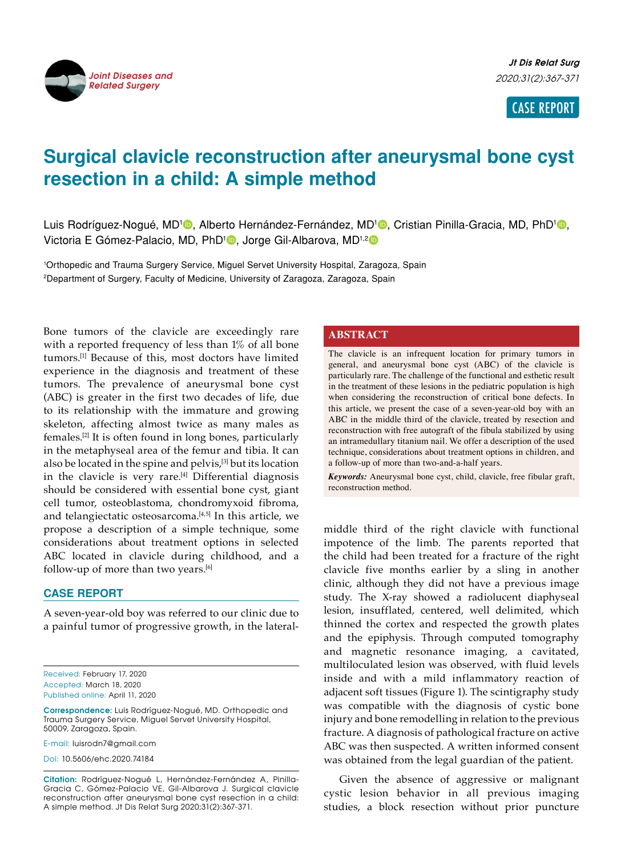

CASE REPORT

# **Surgical clavicle reconstruction after aneurysmal bone cyst resection in a child: A simple method**

Luis Rodríguez-Nogué, MD<sup>1</sup><sup>®</sup>, Alberto Hernández-Fernández, MD<sup>1</sup>®, Cristian Pinilla-Gracia, MD, PhD<sup>1</sup>®, Victoria E Gómez-Palacio, MD, PhD<sup>1</sup><sup>0</sup>, Jorge Gil-Albarova, MD<sup>1,2</sup><sup>0</sup>

1 Orthopedic and Trauma Surgery Service, Miguel Servet University Hospital, Zaragoza, Spain 2 Department of Surgery, Faculty of Medicine, University of Zaragoza, Zaragoza, Spain

Bone tumors of the clavicle are exceedingly rare with a reported frequency of less than 1% of all bone tumors.[1] Because of this, most doctors have limited experience in the diagnosis and treatment of these tumors. The prevalence of aneurysmal bone cyst (ABC) is greater in the first two decades of life, due to its relationship with the immature and growing skeleton, affecting almost twice as many males as females.[2] It is often found in long bones, particularly in the metaphyseal area of the femur and tibia. It can also be located in the spine and pelvis,<sup>[3]</sup> but its location in the clavicle is very rare.<sup>[4]</sup> Differential diagnosis should be considered with essential bone cyst, giant cell tumor, osteoblastoma, chondromyxoid fibroma, and telangiectatic osteosarcoma. $[4,5]$  In this article, we propose a description of a simple technique, some considerations about treatment options in selected ABC located in clavicle during childhood, and a follow-up of more than two years.<sup>[6]</sup>

### **CASE REPORT**

A seven-year-old boy was referred to our clinic due to a painful tumor of progressive growth, in the lateral-

Received: February 17, 2020 Accepted: March 18, 2020 Published online: April 11, 2020

**Correspondence**: Luis Rodríguez-Nogué, MD. Orthopedic and Trauma Surgery Service, Miguel Servet University Hospital, 50009, Zaragoza, Spain.

E-mail: luisrodn7@gmail.com

Doi: 10.5606/ehc.2020.74184

**Citation:** Rodríguez-Nogué L, Hernández-Fernández A, Pinilla-Gracia C, Gómez-Palacio VE, Gil-Albarova J. Surgical clavicle reconstruction after aneurysmal bone cyst resection in a child: A simple method. Jt Dis Relat Surg 2020;31(2):367-371.

## **ABSTRACT**

The clavicle is an infrequent location for primary tumors in general, and aneurysmal bone cyst (ABC) of the clavicle is particularly rare. The challenge of the functional and esthetic result in the treatment of these lesions in the pediatric population is high when considering the reconstruction of critical bone defects. In this article, we present the case of a seven-year-old boy with an ABC in the middle third of the clavicle, treated by resection and reconstruction with free autograft of the fibula stabilized by using an intramedullary titanium nail. We offer a description of the used technique, considerations about treatment options in children, and a follow-up of more than two-and-a-half years.

*Keywords:* Aneurysmal bone cyst, child, clavicle, free fibular graft, reconstruction method.

middle third of the right clavicle with functional impotence of the limb. The parents reported that the child had been treated for a fracture of the right clavicle five months earlier by a sling in another clinic, although they did not have a previous image study. The X-ray showed a radiolucent diaphyseal lesion, insufflated, centered, well delimited, which thinned the cortex and respected the growth plates and the epiphysis. Through computed tomography and magnetic resonance imaging, a cavitated, multiloculated lesion was observed, with fluid levels inside and with a mild inflammatory reaction of adjacent soft tissues (Figure 1). The scintigraphy study was compatible with the diagnosis of cystic bone injury and bone remodelling in relation to the previous fracture. A diagnosis of pathological fracture on active ABC was then suspected. A written informed consent was obtained from the legal guardian of the patient.

Given the absence of aggressive or malignant cystic lesion behavior in all previous imaging studies, a block resection without prior puncture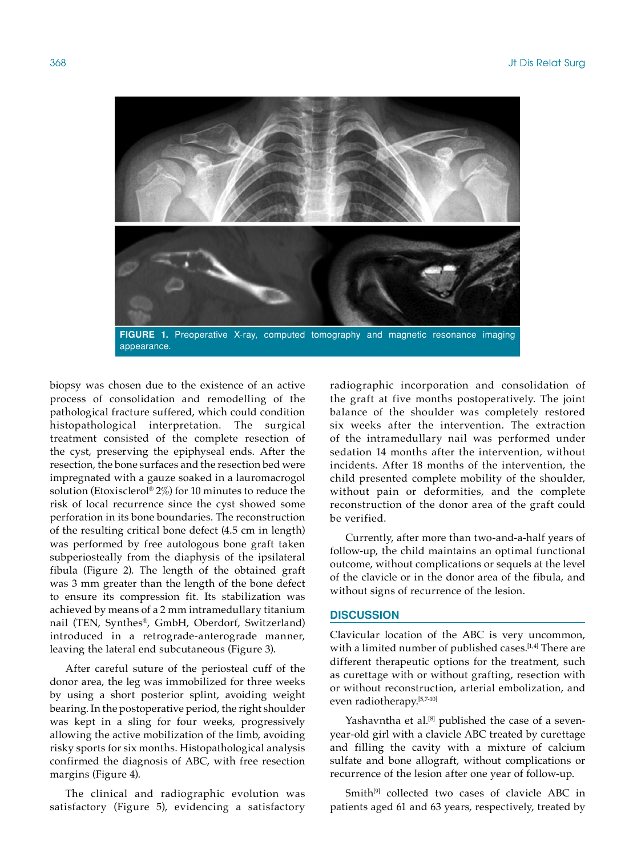

appearance.

biopsy was chosen due to the existence of an active process of consolidation and remodelling of the pathological fracture suffered, which could condition histopathological interpretation. The surgical treatment consisted of the complete resection of the cyst, preserving the epiphyseal ends. After the resection, the bone surfaces and the resection bed were impregnated with a gauze soaked in a lauromacrogol solution (Etoxisclerol® 2%) for 10 minutes to reduce the risk of local recurrence since the cyst showed some perforation in its bone boundaries. The reconstruction of the resulting critical bone defect (4.5 cm in length) was performed by free autologous bone graft taken subperiosteally from the diaphysis of the ipsilateral fibula (Figure 2). The length of the obtained graft was 3 mm greater than the length of the bone defect to ensure its compression fit. Its stabilization was achieved by means of a 2 mm intramedullary titanium nail (TEN, Synthes®, GmbH, Oberdorf, Switzerland) introduced in a retrograde-anterograde manner, leaving the lateral end subcutaneous (Figure 3).

After careful suture of the periosteal cuff of the donor area, the leg was immobilized for three weeks by using a short posterior splint, avoiding weight bearing. In the postoperative period, the right shoulder was kept in a sling for four weeks, progressively allowing the active mobilization of the limb, avoiding risky sports for six months. Histopathological analysis confirmed the diagnosis of ABC, with free resection margins (Figure 4).

The clinical and radiographic evolution was satisfactory (Figure 5), evidencing a satisfactory radiographic incorporation and consolidation of the graft at five months postoperatively. The joint balance of the shoulder was completely restored six weeks after the intervention. The extraction of the intramedullary nail was performed under sedation 14 months after the intervention, without incidents. After 18 months of the intervention, the child presented complete mobility of the shoulder, without pain or deformities, and the complete reconstruction of the donor area of the graft could be verified.

Currently, after more than two-and-a-half years of follow-up, the child maintains an optimal functional outcome, without complications or sequels at the level of the clavicle or in the donor area of the fibula, and without signs of recurrence of the lesion.

### **DISCUSSION**

Clavicular location of the ABC is very uncommon, with a limited number of published cases.<sup>[1,4]</sup> There are different therapeutic options for the treatment, such as curettage with or without grafting, resection with or without reconstruction, arterial embolization, and even radiotherapy.[5,7-10]

Yashavntha et al.<sup>[8]</sup> published the case of a sevenyear-old girl with a clavicle ABC treated by curettage and filling the cavity with a mixture of calcium sulfate and bone allograft, without complications or recurrence of the lesion after one year of follow-up.

Smith<sup>[9]</sup> collected two cases of clavicle ABC in patients aged 61 and 63 years, respectively, treated by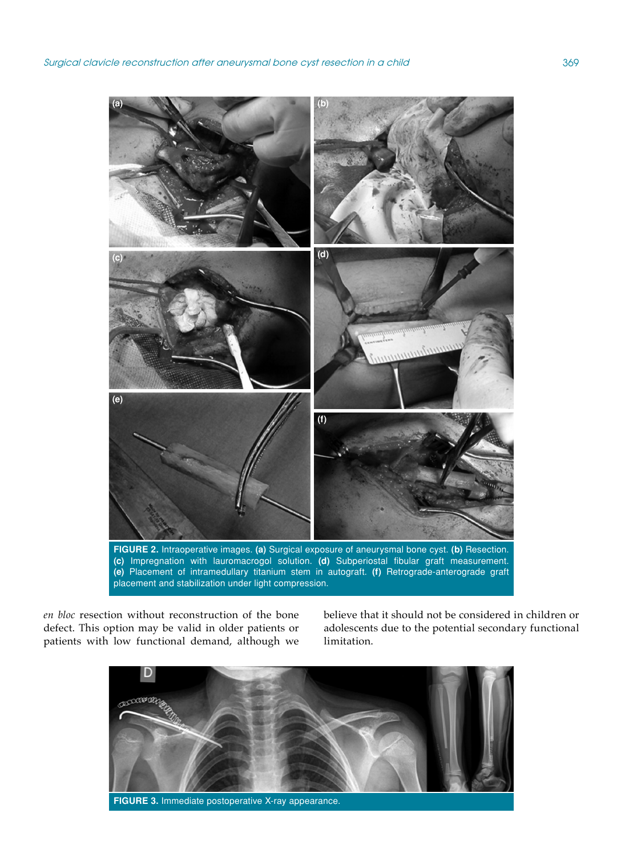

*en bloc* resection without reconstruction of the bone defect. This option may be valid in older patients or patients with low functional demand, although we believe that it should not be considered in children or adolescents due to the potential secondary functional limitation.

![](_page_2_Picture_4.jpeg)

**FIGURE 3.** Immediate postoperative X-ray appearance.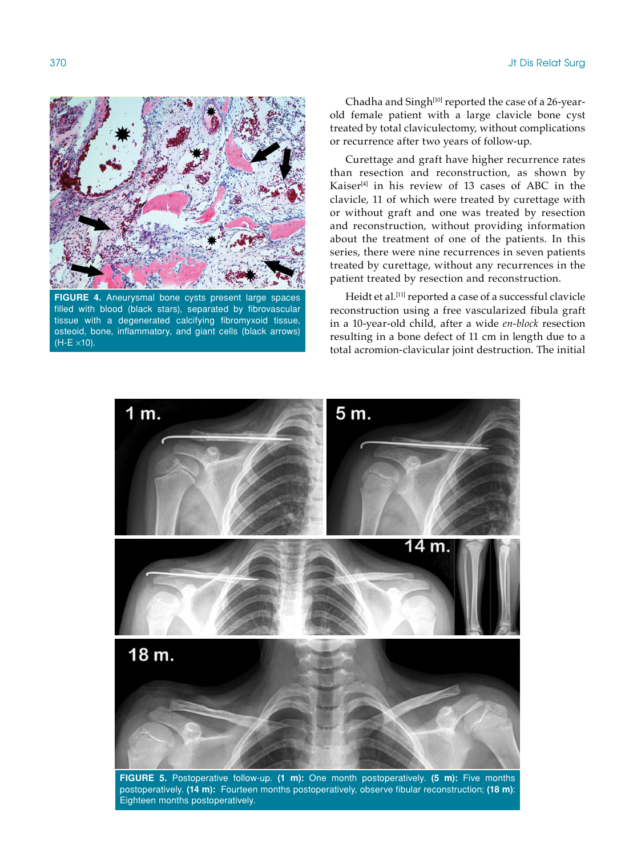![](_page_3_Picture_1.jpeg)

**FIGURE 4.** Aneurysmal bone cysts present large spaces filled with blood (black stars), separated by fibrovascular tissue with a degenerated calcifying fibromyxoid tissue, osteoid, bone, inflammatory, and giant cells (black arrows)  $(H-E \times 10)$ .

Chadha and Singh<sup>[10]</sup> reported the case of a 26-yearold female patient with a large clavicle bone cyst treated by total claviculectomy, without complications or recurrence after two years of follow-up.

Curettage and graft have higher recurrence rates than resection and reconstruction, as shown by Kaiser<sup>[4]</sup> in his review of 13 cases of ABC in the clavicle, 11 of which were treated by curettage with or without graft and one was treated by resection and reconstruction, without providing information about the treatment of one of the patients. In this series, there were nine recurrences in seven patients treated by curettage, without any recurrences in the patient treated by resection and reconstruction.

Heidt et al.<sup>[11]</sup> reported a case of a successful clavicle reconstruction using a free vascularized fibula graft in a 10-year-old child, after a wide *en-block* resection resulting in a bone defect of 11 cm in length due to a total acromion-clavicular joint destruction. The initial

![](_page_3_Figure_6.jpeg)